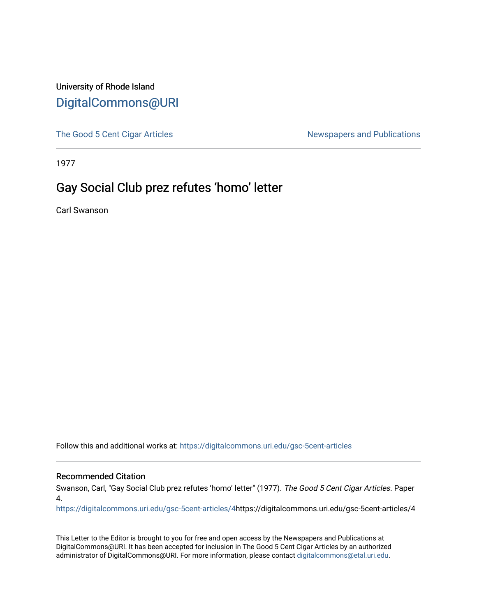## University of Rhode Island [DigitalCommons@URI](https://digitalcommons.uri.edu/)

[The Good 5 Cent Cigar Articles](https://digitalcommons.uri.edu/gsc-5cent-articles) Newspapers and Publications

1977

## Gay Social Club prez refutes 'homo' letter

Carl Swanson

Follow this and additional works at: [https://digitalcommons.uri.edu/gsc-5cent-articles](https://digitalcommons.uri.edu/gsc-5cent-articles?utm_source=digitalcommons.uri.edu%2Fgsc-5cent-articles%2F4&utm_medium=PDF&utm_campaign=PDFCoverPages) 

## Recommended Citation

Swanson, Carl, "Gay Social Club prez refutes 'homo' letter" (1977). The Good 5 Cent Cigar Articles. Paper 4.

[https://digitalcommons.uri.edu/gsc-5cent-articles/4h](https://digitalcommons.uri.edu/gsc-5cent-articles/4?utm_source=digitalcommons.uri.edu%2Fgsc-5cent-articles%2F4&utm_medium=PDF&utm_campaign=PDFCoverPages)ttps://digitalcommons.uri.edu/gsc-5cent-articles/4

This Letter to the Editor is brought to you for free and open access by the Newspapers and Publications at DigitalCommons@URI. It has been accepted for inclusion in The Good 5 Cent Cigar Articles by an authorized administrator of DigitalCommons@URI. For more information, please contact [digitalcommons@etal.uri.edu.](mailto:digitalcommons@etal.uri.edu)